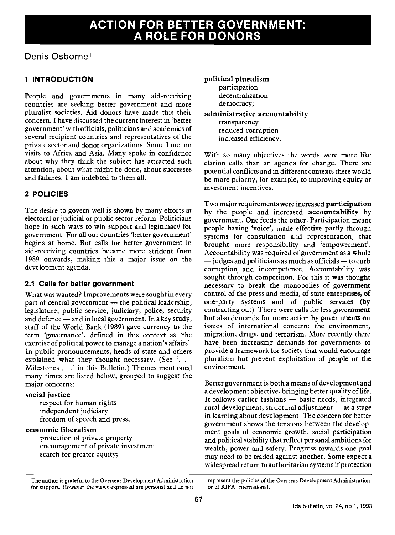# ACTION FOR BETTER GOVERNMENT: A ROLE FOR DONORS

# Denis Osborne1

# 1 INTRODUCTION

People and governments in many aid-receiving countries are seeking better government and more pluralist societies. Aid donors have made this their concern. I have discussed the current interest in 'better government' with officials, politicians and academics of several recipient countries and representatives of the private sector and donor organizations. Some I met on visits to Africa and Asia. Many spoke in confidence about why they think the subject has attracted such attention, about what might be done, about successes and failures. I am indebted to them all.

# 2 POLICIES

The desire to govern well is shown by many efforts at electoral or judicial or public sector reform. Politicians hope in such ways to win support and legitimacy for government. For all our countries 'better government' begins at home. But calls for better government in aid-receiving countries became more strident from 1989 onwards, making this a major issue on the development agenda.

# 2.1 Calls for better government

What was wanted? Improvements were sought in every part of central government  $-$  the political leadership, legislature, public service, judiciary, police, security and defence  $-$  and in local government. In a key study, staff of the World Bank (1989) gave currency to the term 'governance', defined in this context as 'the exercise of political power to manage a nation's affairs'. In public pronouncements, heads of state and others explained what they thought necessary. (See '... Milestones . . .' in this Bulletin.) Themes mentioned many times are listed below, grouped to suggest the major concerns:

## social justice

respect for human rights independent judiciary freedom of speech and press;

## economic liberalism

protection of private property encouragement of private investment search for greater equity;

#### political pluralism

participation decentralization democracy;

#### administrative accountability

transparency reduced corruption increased efficiency.

With so many objectives the words were more like clarion calls than an agenda for change. There are potential conflicts and in different contexts there would be more priority, for example, to improving equity or investment incentives.

Two major requirements were increased participation by the people and increased accountability by government. One feeds the other. Participation meant people having 'voice', made effective partly through systems for consultation and representation, that brought more responsibility and 'empowerment'. Accountability was required of government as a whole  $-$  judges and politicians as much as officials  $-$  to curb corruption and incompetence. Accountability was sought through competition. For this it was thought necessary to break the monopolies of government control of the press and media, of state enterprises, of one-party systems and of public services (by contracting out). There were calls for less government but also demands for more action by governments on issues of international concern: the environment, migration, drugs, and terrorism. More recently there have been increasing demands for governments to provide a framework for society that would encourage pluralism but prevent exploitation of people or the environment.

Better government is both a means of development and a development objective, bringing better quality of life. It follows earlier fashions - basic needs, integrated rural development, structural adjustment - as a stage in learning about development. The concern for better government shows the tensions between the development goals of economic growth, social participation and political stability that reflect personal ambitions for wealth, power and safety. Progress towards one goal may need to be traded against another. Some expect a widespread return to authoritarian systems if protection

<sup>&</sup>lt;sup>1</sup> The author is grateful to the Overseas Development Administration represent the policies of the Overseas Development Administration<br>for support, However the views expressed are personal and do not or of RIPA Internatio for support. However the views expressed are personal and do not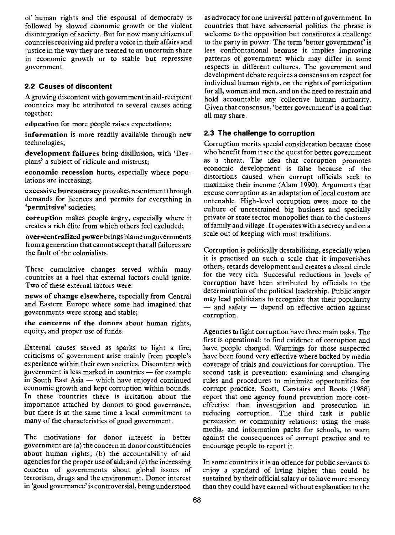of human rights and the espousal of democracy is followed by slowed economic growth or the violent disintegration of society. But for now many citizens of countries receiving aid prefer a voice in their affairs and justice in the way they are treated to an uncertain share in economic growth or to stable but repressive government.

# 2.2 Causes of discontent

A growing discontent with government in aid-recipient countries may be attributed to several causes acting together:

education for more people raises expectations;

information is more readily available through new technologies;

development failures bring disillusion, with 'Deyplans' a subject of ridicule and mistrust;

economic recession hurts, especially where populations are increasing;

excessive bureaucracy provokes resentment through demands for licences and permits for everything in 'permitsive' societies;

corruption makes people angry, especially where it creates a rich élite from which others feel excluded;

over-centralized power brings blame on governments from a generation that cannot accept that all failures are the fault of the colonialists.

These cumulative changes served within many countries as a fuel that external factors could ignite. Two of these external factors were:

news of change elsewhere, especially from Central and Eastern Europe where some had imagined that governments were strong and stable;

the concerns of the donors about human rights, equity, and proper use of funds.

External causes served as sparks to light a fire; criticisms of government arise mainly from people's experience within their own societies. Discontent with government is less marked in countries  $-$  for example in South East Asia  $-$  which have enjoyed continued economic growth and kept corruption within bounds. In these countries there is irritation about the importance attached by donors to good governance; but there is at the same time a local commitment to many of the characteristics of good government.

The motivations for donor interest in better government are (a) the concern in donor constituencies about human rights; (b) the accountability of aid agencies for the proper use of aid; and (c) the increasing concern of governments about global issues of terrorism, drugs and the environment. Donor interest in 'good governance' is controversial, being understood

as advocacy for one universal pattern of government. In countries that have adversarial politics the phrase is welcome to the opposition but constitutes a challenge to the party in power. The term 'better government' is less confrontational because it implies improving patterns of government which may differ in some respects in different cultures. The government and development debate requires a consensus on respect for individual human rights, on the rights of participation for all, women and men, and on the need to restrain and hold accountable any collective human authority. Given that consensus, 'better government' is a goal that all may share.

# 2.3 The challenge to corruption

Corruption merits special consideration because those who benefit from it see the quest for better government as <sup>a</sup> threat. The idea that corruption promotes economic development is false because of the distortions caused when corrupt officials seek to maximize their income (Alam 1990). Arguments that excuse corruption as an adaptation of local custom are untenable. High-level corruption owes more to the culture of unrestrained big business and specially private or state sector monopolies than to the customs of family and village. It operates with a secrecy and on a scale out of keeping with most traditions.

Corruption is politically destabilizing, especially when it is practised on such a scale that it impoverishes others, retards development and creates a closed circle for the very rich. Successful reductions in levels of corruption have been attributed by officials to the determination of the political leadership. Public anger may lead politicians to recognize that their popularity  $-$  and safety  $-$  depend on effective action against corruption.

Agencies to fight corruption have three main tasks. The first is operational: to find evidence of corruption and have people charged. Warnings for those suspected have been found very effective where backed by media coverage of trials and convictions for corruption. The second task is prevention: examining and changing rules and procedures to minimize opportunities for corrupt practice. Scott, Carstairs and Roots (1988) report that one agency found prevention more costeffective than investigation and prosecution in reducing corruption. The third task is public persuasion or community relations: using the mass media, and information packs for schools, to warn against the consequences of corrupt practice and to encourage people to report it.

In some countries it is an offence for public servants to enjoy a standard of living higher than could be sustained by their official salary or to have more money than they could have earned without explanation to the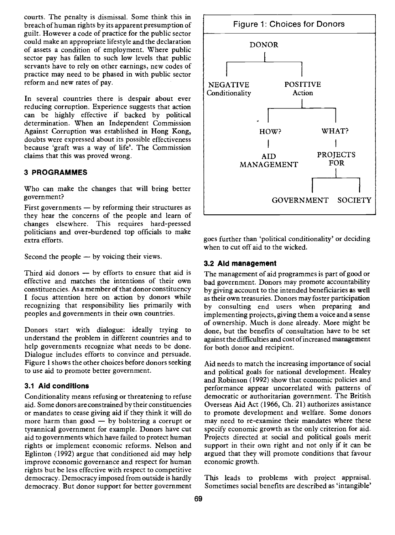courts. The penalty is dismissal. Some think this in breach of human rights by its apparent presumption of guilt. However a code of practice for the public sector could make an appropriate lifestyle and the declaration of assets a condition of employment. Where public sector pay has fallen to such low levels that public servants have to rely on other earnings, new codes of practice may need to be phased in with public sector reform and new rates of pay.

In several countries there is despair about ever reducing corruption. Experience suggests that action can be highly effective if backed by political determination. When an Independent Commission Against Corruption was established in Hong Kong, doubts were expressed about its possible effectiveness because 'graft was a way of life'. The Commission claims that this was proved wrong.

#### 3 PROGRAMMES

Who can make the changes that will bring better government?

First governments  $-$  by reforming their structures as they hear the concerns of the people and learn of changes elsewhere. This requires hard-pressed politicians and over-burdened top officials to make .<br>extra efforts.

Second the people  $-$  by voicing their views.

Third aid donors  $-$  by efforts to ensure that aid is effective and matches the intentions of their own constituencies. As a member of that donor constituency I focus attention here on action by donors while recognizing that responsibility lies primarily with peoples and governments in their own countries.

Donors start with dialogue: ideally trying to understand the problem in different countries and to help governments recognize what needs to be done. Dialogue includes efforts to convince and persuade. Figure 1 shows the other choices before donors seeking to use aid to promote better government.

#### 3.1 Aid conditions

Conditionality means refusing or threatening to refuse aid. Some donors are constrained by their constituencies or mandates to cease giving aid if they think it will do more harm than good  $-$  by bolstering a corrupt or tyrannical government for example. Donors have cut aid to governments which have failed to protect human rights or implement economic reforms. Nelson and Eglinton (1992) argue that conditioned aid may help improve economic governance and respect for human rights but be less effective with respect to competitive democracy. Democracy imposed from outside is hardly democracy. But donor support for better government



goes further than 'political conditionality' or deciding when to cut off aid to the wicked.

#### 3.2 Aid management

The management of aid programmes is part of good or bad government. Donors may promote accountability by giving account to the intended beneficiaries as well as their own treasuries. Donors may foster participation by consulting end users when preparing and implementing projects, giving them a voice and a sense of ownership. Much is done already. More might be done, but the benefits of consultation have to be set against the difficulties and cost of increased management for both donor and recipient.

Aid needs to match the increasing importance of social and political goals for national development. Healey and Robinson (1992) show that economic policies and performance appear uncorrelated with patterns of democratic or authoritarian government. The British Overseas Aid Act (1966, Ch. 21) authorizes assistance to promote development and welfare. Some donors may need to re-examine their mandates where these specify economic growth as the only criterion for aid. Projects directed at social and political goals merit support in their own right and not only if it can be argued that they will promote conditions that favour economic growth.

This leads to problems with project appraisal. Sometimes social benefits are described as 'intangible'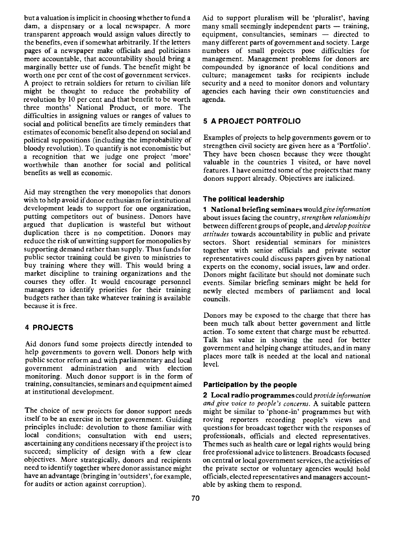but a valuation is implicit in choosing whether to fund a dam, a dispensary or a local newspaper. A more transparent approach would assign values directly to the benefits, even if somewhat arbitrarily. If the letters pages of a newspaper make officials and politicians more accountable, that accountability should bring a marginally better use of funds. The benefit might be worth one per cent of the cost of government services. might be thought to reduce the probability of revolution by 10 per cent and that benefit to be worth three months' National Product, or more. The difficulties in assigning values or ranges of values to social and political benefits are timely reminders that estimates of economic benefit also depend on social and political suppositions (including the improbability of bloody revolution). To quantify is not economistic but a recognition that we judge one project 'more' worthwhile than another for social and political benefits as well as economic.

Aid may strengthen the very monopolies that donors wish to help avoid if donor enthusiasm for institutional development leads to support for one organization, putting competitors out of business. Donors have argued that duplication is wasteful but without duplication there is no competition. Donors may reduce the risk of unwitting support for monopolies by supporting demand rather than supply. Thus funds for public sector training could be given to ministries to buy training where they will. This would bring a market discipline to training organizations and the courses they offer. It would encourage personnel managers to identify priorities for their training budgets rather than take whatever training is available because it is free.

# 4 PROJECTS

Aid donors fund some projects directly intended to help governments to govern well. Donors help with public sector reform and with parliamentary and local government administration and with election monitoring. Much donor support is in the form of training, consultancies, seminars and equipment aimed at institutional development.

The choice of new projects for donor support needs itself to be an exercise in better government. Guiding principles include: devolution to those familiar with local conditions; consultation with end users; ascertaining any conditions necessary if the project is to succeed; simplicity of design with a few clear objectives. More strategically, donors and recipients need to identify together where donor assistance might have an advantage (bringing in 'outsiders', for example, for audits or action against corruption).

Aid to support pluralism will be 'pluralist', having many small seemingly independent parts  $-$  training, equipment, consultancies, seminars - directed to many different parts of government and society. Large numbers of small projects pose difficulties for management. Management problems for donors are compounded by ignorance of local conditions and culture; management tasks for recipients include security and a need to monitor donors and voluntary agencies each having their own constituencies and agenda.

# 5 A PROJECT PORTFOLIO

Examples of projects to help governments govern or to strengthen civil society are given here as a 'Portfolio'. They have been chosen because they were thought valuable in the countries I visited, or have novel features. I have omitted some of the projects that many donors support already. Objectives are italicized.

# The political leadership

1 National briefing seminars would give information about issues facing the country, strengthen relationships between different groups of people, and develop positive attitudes towards accountability in public and private sectors. Short residential seminars for ministers together with senior officials and private sector representatives could discuss papers given by national experts on the economy, social issues, law and order. Donors might facilitate but should not dominate such events. Similar briefing seminars might be held for newly elected members of parliament and local councils.

Donors may be exposed to the charge that there has been much talk about better government and little action. To some extent that charge must be rebutted. Talk has value in showing the need for better government and helping change attitudes, and in many places more talk is needed at the local and national level.

## Participation by the people

2 Local radio programmes could provide information and give voice to people's concerns. A suitable pattern might be similar to 'phone-in' programmes but with roving reporters recording people's views and questions for broadcast together with the responses of professionals, officials and elected representatives. Themes such as health care or legal rights would bring free professional advice to listeners. Broadcasts focused on central or local government services, the activities of the private sector or voluntary agencies would hold officials, elected representatives and managers accountable by asking them to respond.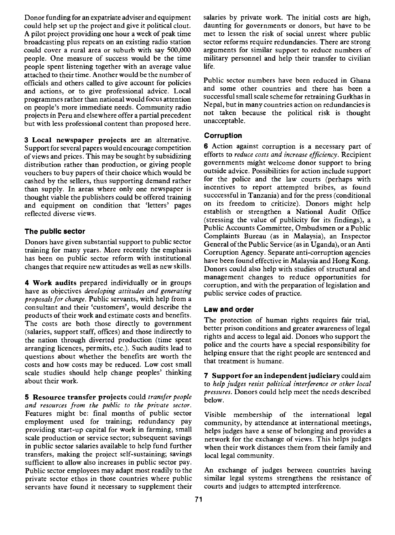Donor funding for an expatriate adviser and equipment could help set up the project and give it political clout. A pilot project providing one hour a week of peak time broadcasting plus repeats on an existing radio station could cover a rural area or suburb with say 500,000 people. One measure of success would be the time people spent listening together with an average value attached to their time. Another would be the number of officials and others called to give account for policies and actions, or to give professional advice. Local programmes rather than national would focus attention on people's more immediate needs. Community radio projects in Peru and elsewhere offer a partial precedent but with less professional content than proposed here.

3 Local newspaper projects are an alternative. Support for several papers would encourage competition of views and prices. This may be sought by subsidizing distribution rather than production, or giving people vouchers to buy papers of their choice which would be cashed by the sellers, thus supporting demand rather than supply. In areas where only one newspaper is thought viable the publishers could be offered training and equipment on condition that 'letters' pages reflected diverse views.

## The public sector

Donors have given substantial support to public sector training for many years. More recently the emphasis has been on public sector reform with institutional changes that require new attitudes as well as new skills.

4 Work audits prepared individually or in groups have as objectives developing attitudes and generating proposals for change. Public servants, with help from a consultant and their 'customers', would describe the products of their work and estimate costs and benefits. The costs are both those directly to government (salaries, support staff, offices) and those indirectly to the nation through diverted production (time spent arranging licences, permits, etc.). Such audits lead to questions about whether the benefits are worth the costs and how costs may be reduced. Low cost small scale studies should help change peoples' thinking about their work.

5 Resource transfer projects could transfer people and resources from the public to the private sector. Features might be: final months of public sector employment used for training; redundancy pay providing start-up capital for work in farming, small scale production or service sector; subsequent savings in public sector salaries available to help fund further transfers, making the project self-sustaining; savings sufficient to allow also increases in public sector pay. Public sector employees may adapt most readily to the private sector ethos in those countries where public servants have found it necessary to supplement their salaries by private work. The initial costs are high, daunting for governments or donors, but have to be met to lessen the risk of social unrest where public sector reforms require redundancies. There are strong arguments for similar support to reduce numbers of military personnel and help their transfer to civilian life.

Public sector numbers have been reduced in Ghana and some other countries and there has been a successful small scale scheme for retraining Gurkhas in Nepal, but in many countries action on redundancies is not taken because the political risk is thought unacceptable.

#### Corruption

6 Action against corruption is a necessary part of efforts to reduce costs and increase efficiency. Recipient governments might welcome donor support to bring outside advice. Possibilities for action include support for the police and the law courts (perhaps with incentives to report attempted bribes, as found succcessful in Tanzania) and for the press (conditional on its freedom to criticize). Donors might help establish or strengthen a National Audit Office (stressing the value of publicity for its findings), a Public Accounts Committee, Ombudsmen or a Public Complaints Bureau (as in Malaysia), an Inspector General of the Public Service (as in Uganda), or an Anti Corruption Agency. Separate anti-corruption agencies have been found effective in Malaysia and Hong Kong. Donors could also help with studies of structural and management changes to reduce opportunities for corruption, and with the preparation of legislation and public service codes of practice.

#### Law and order

The protection of human rights requires fair trial, better prison conditions and greater awareness of legal rights and access to legal aid. Donors who support the police and the courts have a special responsibility for helping ensure that the right people are sentenced and that treatment is humane.

7 Support for an independent judiciary could aim to help judges resist political interference or other local pressures. Donors could help meet the needs described below.

Visible membership of the international legal community, by attendance at international meetings, helps judges have a sense of belonging and provides a network for the exchange of views. This helps judges when their work distances them from their family and local legal community.

An exchange of judges between countries having similar legal systems strengthens the resistance of courts and judges to attempted interference.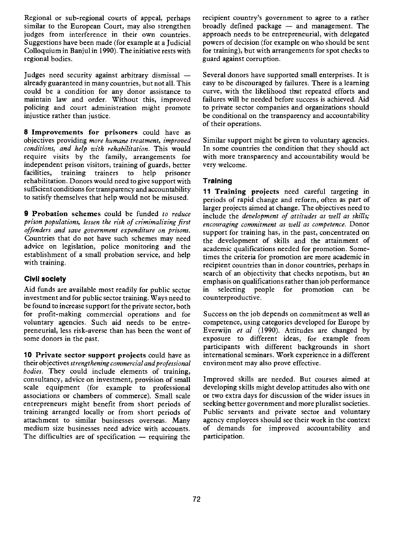Regional or sub-regional courts of appeal, perhaps similar to the European Court, may also strengthen judges from interference in their own countries. Suggestions have been made (for example at a Judicial Colloquium in Banjul in 1990). The initiative rests with regional bodies.

Judges need security against arbitrary dismissal already guaranteed in many countries, but not all. This could be a condition for any donor assistance to maintain law and order. Without this, improved policing and court administration might promote injustice rather than justice.

8 Improvements for prisoners could have as objectives providing more humane treatment, improved conditions, and help with rehabilitation. This would require visits by the family, arrangements for independent prison visitors, training of guards, better training trainers rehabilitation. Donors would need to give support with sufficient conditions for transparency and accountability to satisfy themselves that help would not be misused.

9 Probation schemes could be funded to reduce prison populations, lessen the risk of crimimalizing first offenders and save government expenditure on prisons. Countries that do not have such schemes may need advice on legislation, police monitoring and the establishment of a small probation service, and help with training.

# Civil society

Aid funds are available most readily for public sector investment and for public sector training. Ways need to be found to increase support for the private sector, both for profit-making commercial operations and for voluntary agencies. Such aid needs to be entrepreneurial, less risk-averse than has been the wont of some donors in the past.

10 Private sector support projects could have as their objectives strengthening commercial and professional bodies. They could include elements of training, consultancy, advice on investment, provision of small scale equipment (for example to professional associations or chambers of commerce). Small scale entrepreneurs might benefit from short periods of training arranged locally or from short periods of attachment to similar businesses overseas. Many medium size businesses need advice with accounts. The difficulties are of specification  $-$  requiring the recipient country's government to agree to a rather broadly defined package  $-$  and management. The approach needs to be entrepreneurial, with delegated powers of decision (for example on who should be sent for training), but with arrangements for spot checks to guard against corruption.

Several donors have supported small enterprises. It is easy to be discouraged by failures. There is a learning curve, with the likelihood that repeated efforts and failures will be needed before success is achieved. Aid to private sector companies and organizations should be conditional on the transparency and accountability of their operations.

Similar support might be given to voluntary agencies. In some countries the condition that they should act with more transparency and accountability would be very welcome.

# **Training**

11 Training projects need careful targeting in periods of rapid change and reform, often as part of larger projects aimed at change. The objectives need to include the development of attitudes as well as skills; encouraging commitment as well as competence. Donor support for training has, in the past, concentrated on the development of skills and the attainment of academic qualifications needed for promotion. Sometimes the criteria for promotion are more academic in recipient countries than in donor countries, perhaps in search of an objectivity that checks nepotism, but an emphasis on qualifications rather than job performance selecting people for promotion can be counterproductive.

Success on the job depends on commitment as well as competence, using categories developed for Europe by Everwijn et al (1990). Attitudes are changed by exposure to different ideas, for example from participants with different backgrounds in short international seminars. Work experience in a different environment may also prove effective.

Improved skills are needed. But courses aimed at developing skills might develop attitudes also with one or two extra days for discussion of the wider issues in seeking better government and more pluralist societies. Public servants and private sector and voluntary agency employees should see their work in the context of demands for improved accountability and participation.